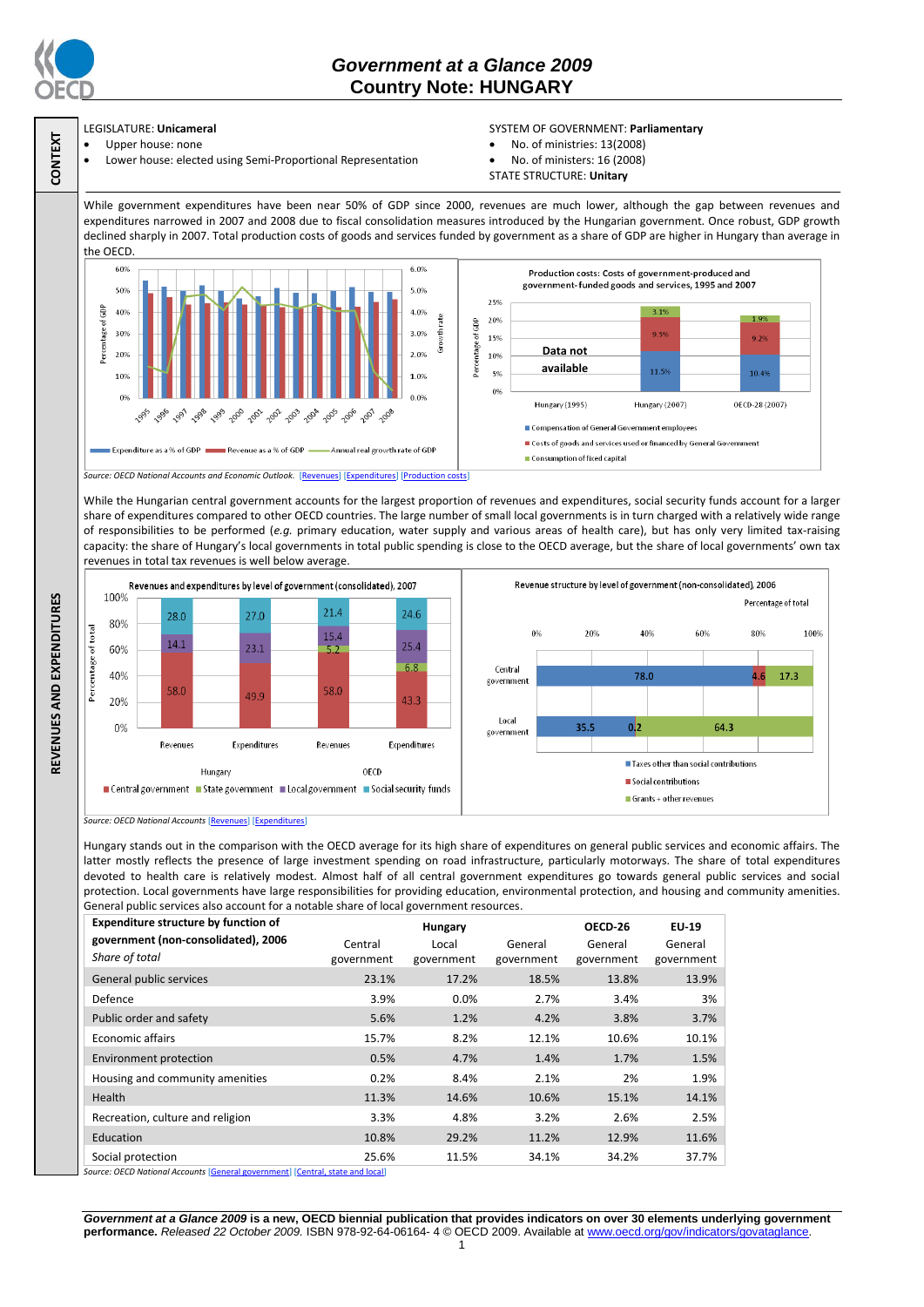

**CONTEXT**

**REVENUES AND EXPENDITURES**

REVENUES AND EXPENDITURES

# *Government at a Glance 2009*  **Country Note: HUNGARY**

## LEGISLATURE: **Unicameral**

- Upper house: none
- Lower house: elected using Semi-Proportional Representation

### SYSTEM OF GOVERNMENT: **Parliamentary**

- No. of ministries: 13(2008)
- No. of ministers: 16 (2008)
- STATE STRUCTURE: **Unitary**

While government expenditures have been near 50% of GDP since 2000, revenues are much lower, although the gap between revenues and expenditures narrowed in 2007 and 2008 due to fiscal consolidation measures introduced by the Hungarian government. Once robust, GDP growth declined sharply in 2007. Total production costs of goods and services funded by government as a share of GDP are higher in Hungary than average in the OECD.



While the Hungarian central government accounts for the largest proportion of revenues and expenditures, social security funds account for a larger share of expenditures compared to other OECD countries. The large number of small local governments is in turn charged with a relatively wide range of responsibilities to be performed (*e.g.* primary education, water supply and various areas of health care), but has only very limited tax-raising capacity: the share of Hungary's local governments in total public spending is close to the OECD average, but the share of local governments' own tax revenues in total tax revenues is well below average.





*Source: OECD National Accounts* [\[Revenues\]](http://dx.doi.org/10.1787/723418413857) [\[Expenditures\]](http://dx.doi.org/10.1787/723508524025)

Hungary stands out in the comparison with the OECD average for its high share of expenditures on general public services and economic affairs. The latter mostly reflects the presence of large investment spending on road infrastructure, particularly motorways. The share of total expenditures devoted to health care is relatively modest. Almost half of all central government expenditures go towards general public services and social protection. Local governments have large responsibilities for providing education, environmental protection, and housing and community amenities. General public services also account for a notable share of local government resources.

| <b>Expenditure structure by function of</b> | Hungary    |            |            | OECD-26    | EU-19      |
|---------------------------------------------|------------|------------|------------|------------|------------|
| government (non-consolidated), 2006         | Central    | Local      | General    | General    | General    |
| Share of total                              | government | government | government | government | government |
| General public services                     | 23.1%      | 17.2%      | 18.5%      | 13.8%      | 13.9%      |
| Defence                                     | 3.9%       | 0.0%       | 2.7%       | 3.4%       | 3%         |
| Public order and safety                     | 5.6%       | 1.2%       | 4.2%       | 3.8%       | 3.7%       |
| <b>Economic affairs</b>                     | 15.7%      | 8.2%       | 12.1%      | 10.6%      | 10.1%      |
| Environment protection                      | 0.5%       | 4.7%       | 1.4%       | 1.7%       | 1.5%       |
| Housing and community amenities             | 0.2%       | 8.4%       | 2.1%       | 2%         | 1.9%       |
| Health                                      | 11.3%      | 14.6%      | 10.6%      | 15.1%      | 14.1%      |
| Recreation, culture and religion            | 3.3%       | 4.8%       | 3.2%       | 2.6%       | 2.5%       |
| Education                                   | 10.8%      | 29.2%      | 11.2%      | 12.9%      | 11.6%      |
| Social protection                           | 25.6%      | 11.5%      | 34.1%      | 34.2%      | 37.7%      |

re: OECD National Accounts [**C** 

*Government at a Glance 2009* **is a new, OECD biennial publication that provides indicators on over 30 elements underlying government performance.** *Released 22 October 2009.* ISBN 978-92-64-06164- 4 © OECD 2009. Available at www.oecd.org/gov/indicators/govataglance.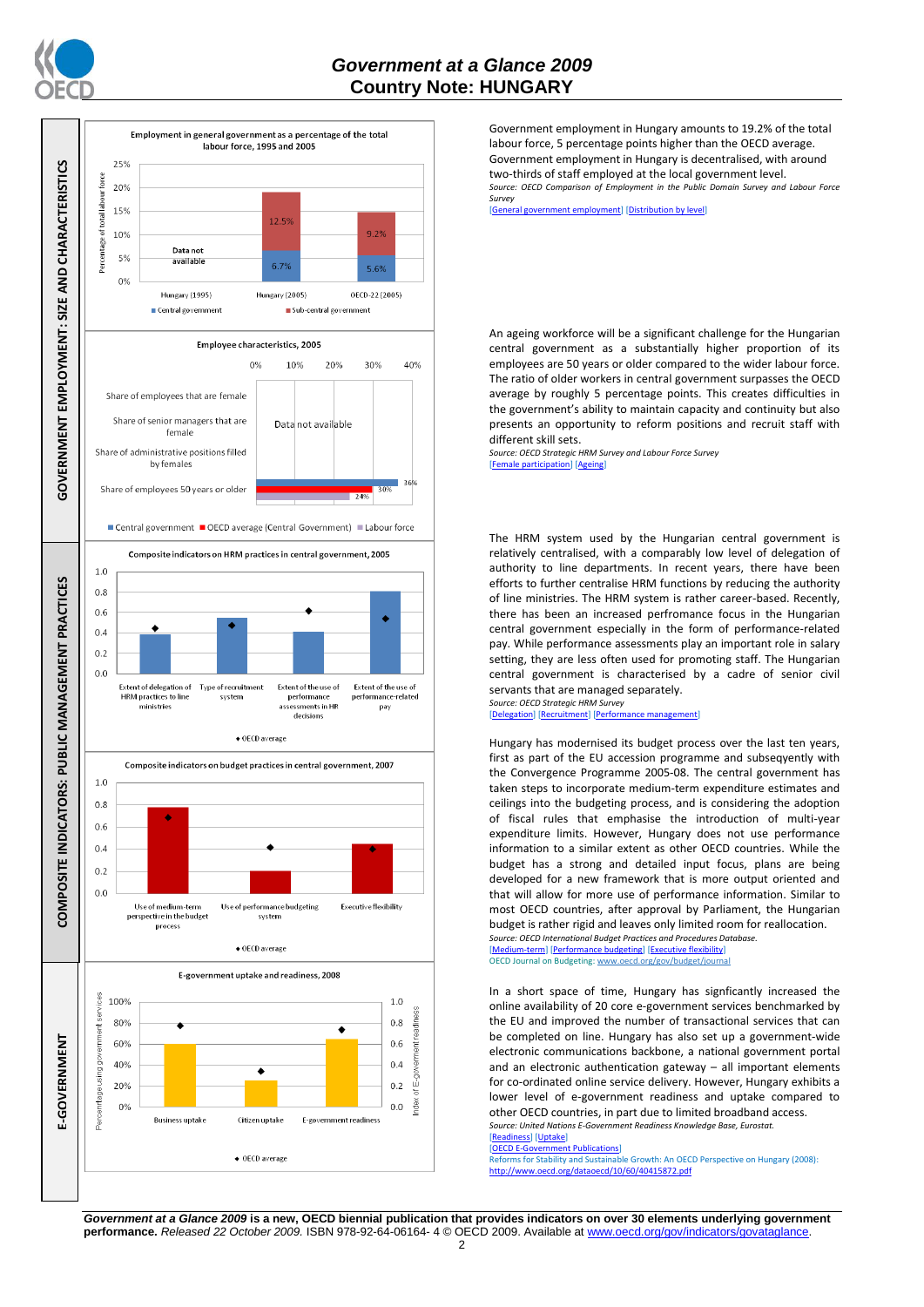



Government employment in Hungary amounts to 19.2% of the total labour force, 5 percentage points higher than the OECD average. Government employment in Hungary is decentralised, with around two-thirds of staff employed at the local government level. *Source: OECD Comparison of Employment in the Public Domain Survey and Labour Force Survey*

[\[General government employment\]](http://dx.doi.org/10.1787/723622503117) [\[Distribution by level\]](http://dx.doi.org/10.1787/723627140760)

An ageing workforce will be a significant challenge for the Hungarian central government as a substantially higher proportion of its employees are 50 years or older compared to the wider labour force. The ratio of older workers in central government surpasses the OECD average by roughly 5 percentage points. This creates difficulties in the government's ability to maintain capacity and continuity but also presents an opportunity to reform positions and recruit staff with different skill sets.

*Source: OECD Strategic HRM Survey and Labour Force Survey* [\[Female participation\]](http://dx.doi.org/10.1787/723642841533) [\[Ageing\]](http://dx.doi.org/10.1787/723656070327)

The HRM system used by the Hungarian central government is relatively centralised, with a comparably low level of delegation of authority to line departments. In recent years, there have been efforts to further centralise HRM functions by reducing the authority of line ministries. The HRM system is rather career-based. Recently, there has been an increased perfromance focus in the Hungarian central government especially in the form of performance-related pay. While performance assessments play an important role in salary setting, they are less often used for promoting staff. The Hungarian central government is characterised by a cadre of senior civil servants that are managed separately.

*Source: OECD Strategic HRM Survey*  egation] [Recruit

Hungary has modernised its budget process over the last ten years, first as part of the EU accession programme and subseqyently with the Convergence Programme 2005-08. The central government has taken steps to incorporate medium-term expenditure estimates and ceilings into the budgeting process, and is considering the adoption of fiscal rules that emphasise the introduction of multi-year expenditure limits. However, Hungary does not use performance information to a similar extent as other OECD countries. While the budget has a strong and detailed input focus, plans are being developed for a new framework that is more output oriented and that will allow for more use of performance information. Similar to most OECD countries, after approval by Parliament, the Hungarian budget is rather rigid and leaves only limited room for reallocation.

*Source: OECD International Budget Practices and Procedures Database.* FOLD INTERTATION<br>Im-term] [\[Performance budgeting\]](http://dx.doi.org/10.1787/723863437686) [\[Executive flexibility\]](http://dx.doi.org/10.1787/723876713213) OECD Journal on Budgeting[: www.oecd.org/gov/budget/journal](http://www.oecd.org/gov/budget/journal)

In a short space of time, Hungary has signficantly increased the online availability of 20 core e-government services benchmarked by the EU and improved the number of transactional services that can be completed on line. Hungary has also set up a government-wide electronic communications backbone, a national government portal and an electronic authentication gateway – all important elements for co-ordinated online service delivery. However, Hungary exhibits a lower level of e-government readiness and uptake compared to other OECD countries, in part due to limited broadband access. *Source: United Nations E-Government Readiness Knowledge Base, Eurostat.*

[\[Readiness\]](http://dx.doi.org/10.1787/724248078408) [\[Uptake\]](http://dx.doi.org/10.1787/724264662272)

#### [\[OECD E-Government Publications\]](http://www.oecd.org/document/40/0,3343,en_2649_34129_41342248_1_1_1_1,00.html)

Reforms for Stability and Sustainable Growth: An OECD Perspective on Hungary (2008):<br>http://www.oecd.org/dataoecd/10/60/40415872.odf <http://www.oecd.org/dataoecd/10/60/40415872.pdf>

*Government at a Glance 2009* **is a new, OECD biennial publication that provides indicators on over 30 elements underlying government performance.** *Released 22 October 2009.* ISBN 978-92-64-06164- 4 © OECD 2009. Available at www.oecd.org/gov/indicators/govataglance.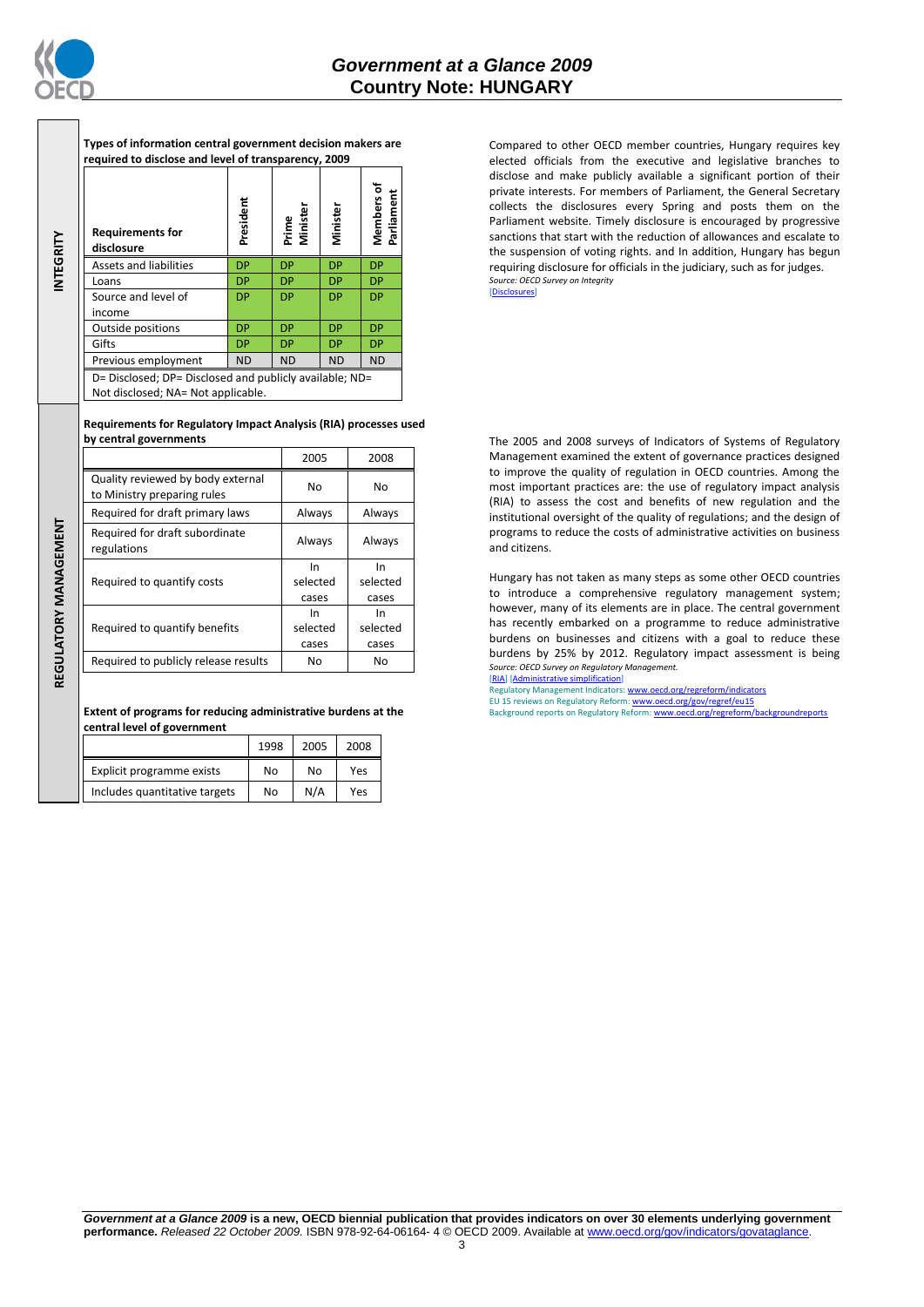

**INTEGRITY**

**Types of information central government decision makers are required to disclose and level of transparency, 2009**

|                                                                                               | <b>Requirements for</b><br>disclosure | President | Prime<br>Minister | Minister  | ㅎ<br>Parliament<br><b>Members</b> |
|-----------------------------------------------------------------------------------------------|---------------------------------------|-----------|-------------------|-----------|-----------------------------------|
|                                                                                               | <b>Assets and liabilities</b>         | <b>DP</b> | <b>DP</b>         | <b>DP</b> | <b>DP</b>                         |
|                                                                                               | Loans                                 | <b>DP</b> | <b>DP</b>         | DP        | <b>DP</b>                         |
|                                                                                               | Source and level of                   | DP        | <b>DP</b>         | DP        | DP                                |
|                                                                                               | income                                |           |                   |           |                                   |
|                                                                                               | Outside positions                     | DP        | <b>DP</b>         | DP        | <b>DP</b>                         |
|                                                                                               | Gifts                                 | DP        | <b>DP</b>         | DP        | <b>DP</b>                         |
|                                                                                               | Previous employment                   | <b>ND</b> | <b>ND</b>         | <b>ND</b> | <b>ND</b>                         |
| D= Disclosed; DP= Disclosed and publicly available; ND=<br>Not disclosed; NA= Not applicable. |                                       |           |                   |           |                                   |

**Requirements for Regulatory Impact Analysis (RIA) processes used by central governments**

|                       |                                                                  | 2005     | 2008     |
|-----------------------|------------------------------------------------------------------|----------|----------|
|                       | Quality reviewed by body external<br>to Ministry preparing rules | No       | No       |
|                       | Required for draft primary laws                                  | Always   | Always   |
| REGULATORY MANAGEMENT | Required for draft subordinate<br>regulations                    | Always   | Always   |
|                       |                                                                  | In       | In       |
|                       | Required to quantify costs                                       | selected | selected |
|                       |                                                                  | cases    | cases    |
|                       |                                                                  | In       | In.      |
|                       | Required to quantify benefits                                    | selected | selected |
|                       |                                                                  | cases    | cases    |
|                       | Required to publicly release results                             | No       | No       |
|                       |                                                                  |          |          |

**Extent of programs for reducing administrative burdens at the central level of government**

|                               | 1998 | 2005 | 2008 |
|-------------------------------|------|------|------|
| Explicit programme exists     | No   | No   | Yes  |
| Includes quantitative targets | No   | N/A  | Yes  |

Compared to other OECD member countries, Hungary requires key elected officials from the executive and legislative branches to disclose and make publicly available a significant portion of their private interests. For members of Parliament, the General Secretary collects the disclosures every Spring and posts them on the Parliament website. Timely disclosure is encouraged by progressive sanctions that start with the reduction of allowances and escalate to the suspension of voting rights. and In addition, Hungary has begun requiring disclosure for officials in the judiciary, such as for judges. *Source: OECD Survey on Integrity* [\[Disclosures\]](http://dx.doi.org/10.1787/724123642681)

The 2005 and 2008 surveys of Indicators of Systems of Regulatory Management examined the extent of governance practices designed to improve the quality of regulation in OECD countries. Among the most important practices are: the use of regulatory impact analysis (RIA) to assess the cost and benefits of new regulation and the institutional oversight of the quality of regulations; and the design of programs to reduce the costs of administrative activities on business and citizens.

Hungary has not taken as many steps as some other OECD countries to introduce a comprehensive regulatory management system; however, many of its elements are in place. The central government has recently embarked on a programme to reduce administrative burdens on businesses and citizens with a goal to reduce these burdens by 25% by 2012. Regulatory impact assessment is being *Source: OECD Survey on Regulatory Management.*

[\[RIA\]](http://dx.doi.org/10.1787/724045144354) [\[Administrative simplification\]](http://dx.doi.org/10.1787/724058851054) Regulatory Management Indicators[: www.oecd.org/regreform/indicators](http://www.oecd.org/regreform/indicators) EU 15 reviews on Regulatory Reform[: www.oecd.org/gov/regref/eu15](http://www.oecd.org/gov/regref/eu15) Background reports on Regulatory Reform[: www.oecd.org/regreform/backgroundreports](http://www.oecd.org/regreform/backgroundreports)